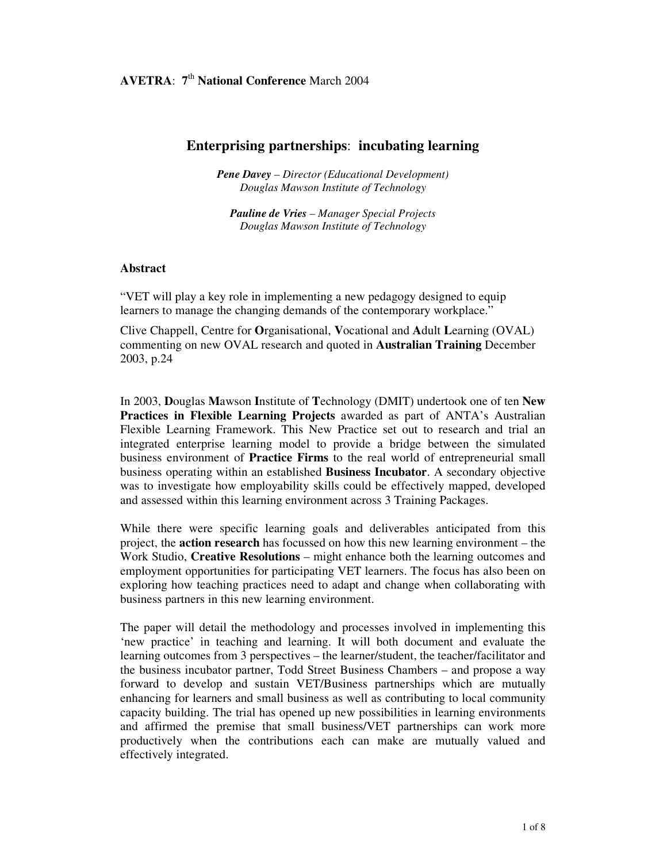# **Enterprising partnerships**: **incubating learning**

*Pene Davey – Director (Educational Development) Douglas Mawson Institute of Technology*

*Pauline de Vries – Manager Special Projects Douglas Mawson Institute of Technology*

#### **Abstract**

"VET will play a key role in implementing a new pedagogy designed to equip learners to manage the changing demands of the contemporary workplace."

Clive Chappell, Centre for **O**rganisational, **V**ocational and **A**dult **L**earning (OVAL) commenting on new OVAL research and quoted in **Australian Training** December 2003, p.24

In 2003, **D**ouglas **M**awson **I**nstitute of **T**echnology (DMIT) undertook one of ten **New Practices in Flexible Learning Projects** awarded as part of ANTA's Australian Flexible Learning Framework. This New Practice set out to research and trial an integrated enterprise learning model to provide a bridge between the simulated business environment of **Practice Firms** to the real world of entrepreneurial small business operating within an established **Business Incubator**. A secondary objective was to investigate how employability skills could be effectively mapped, developed and assessed within this learning environment across 3 Training Packages.

While there were specific learning goals and deliverables anticipated from this project, the **action research** has focussed on how this new learning environment – the Work Studio, **Creative Resolutions** – might enhance both the learning outcomes and employment opportunities for participating VET learners. The focus has also been on exploring how teaching practices need to adapt and change when collaborating with business partners in this new learning environment.

The paper will detail the methodology and processes involved in implementing this 'new practice' in teaching and learning. It will both document and evaluate the learning outcomes from 3 perspectives – the learner/student, the teacher/facilitator and the business incubator partner, Todd Street Business Chambers – and propose a way forward to develop and sustain VET/Business partnerships which are mutually enhancing for learners and small business as well as contributing to local community capacity building. The trial has opened up new possibilities in learning environments and affirmed the premise that small business/VET partnerships can work more productively when the contributions each can make are mutually valued and effectively integrated.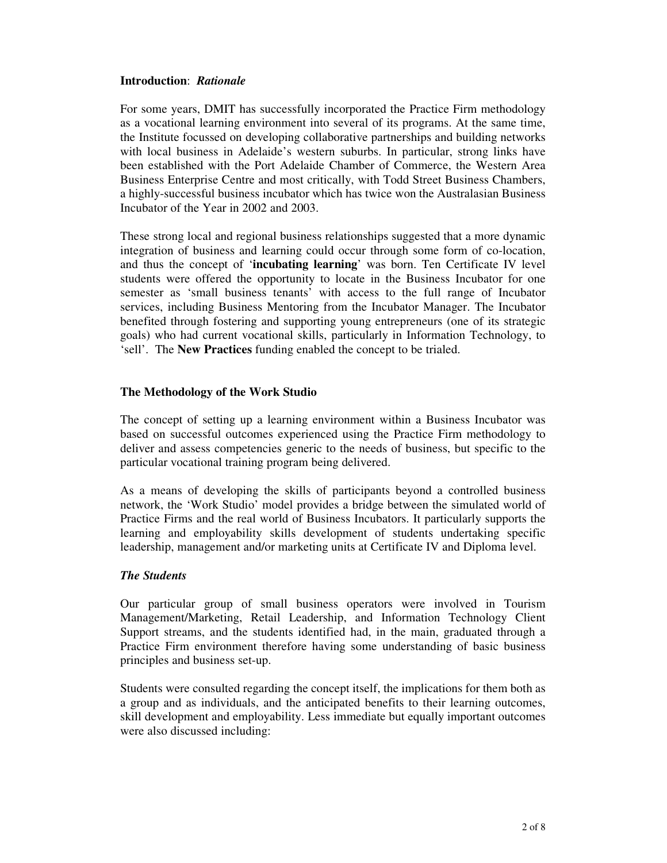#### **Introduction**: *Rationale*

For some years, DMIT has successfully incorporated the Practice Firm methodology as a vocational learning environment into several of its programs. At the same time, the Institute focussed on developing collaborative partnerships and building networks with local business in Adelaide's western suburbs. In particular, strong links have been established with the Port Adelaide Chamber of Commerce, the Western Area Business Enterprise Centre and most critically, with Todd Street Business Chambers, a highly-successful business incubator which has twice won the Australasian Business Incubator of the Year in 2002 and 2003.

These strong local and regional business relationships suggested that a more dynamic integration of business and learning could occur through some form of co-location, and thus the concept of '**incubating learning**' was born. Ten Certificate IV level students were offered the opportunity to locate in the Business Incubator for one semester as 'small business tenants' with access to the full range of Incubator services, including Business Mentoring from the Incubator Manager. The Incubator benefited through fostering and supporting young entrepreneurs (one of its strategic goals) who had current vocational skills, particularly in Information Technology, to 'sell'. The **New Practices** funding enabled the concept to be trialed.

### **The Methodology of the Work Studio**

The concept of setting up a learning environment within a Business Incubator was based on successful outcomes experienced using the Practice Firm methodology to deliver and assess competencies generic to the needs of business, but specific to the particular vocational training program being delivered.

As a means of developing the skills of participants beyond a controlled business network, the 'Work Studio' model provides a bridge between the simulated world of Practice Firms and the real world of Business Incubators. It particularly supports the learning and employability skills development of students undertaking specific leadership, management and/or marketing units at Certificate IV and Diploma level.

#### *The Students*

Our particular group of small business operators were involved in Tourism Management/Marketing, Retail Leadership, and Information Technology Client Support streams, and the students identified had, in the main, graduated through a Practice Firm environment therefore having some understanding of basic business principles and business set-up.

Students were consulted regarding the concept itself, the implications for them both as a group and as individuals, and the anticipated benefits to their learning outcomes, skill development and employability. Less immediate but equally important outcomes were also discussed including: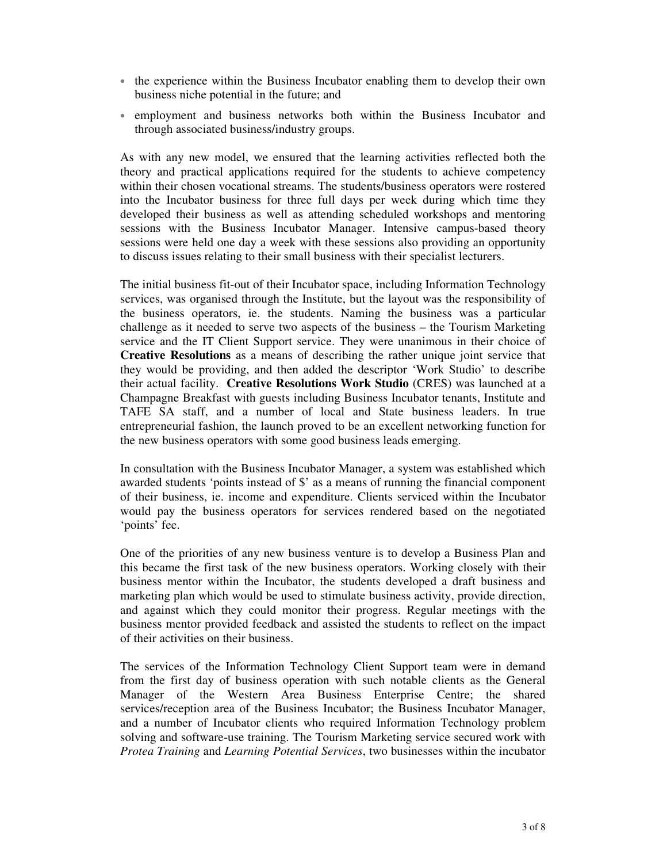- the experience within the Business Incubator enabling them to develop their own business niche potential in the future; and
- employment and business networks both within the Business Incubator and through associated business/industry groups.

As with any new model, we ensured that the learning activities reflected both the theory and practical applications required for the students to achieve competency within their chosen vocational streams. The students/business operators were rostered into the Incubator business for three full days per week during which time they developed their business as well as attending scheduled workshops and mentoring sessions with the Business Incubator Manager. Intensive campus-based theory sessions were held one day a week with these sessions also providing an opportunity to discuss issues relating to their small business with their specialist lecturers.

The initial business fit-out of their Incubator space, including Information Technology services, was organised through the Institute, but the layout was the responsibility of the business operators, ie. the students. Naming the business was a particular challenge as it needed to serve two aspects of the business – the Tourism Marketing service and the IT Client Support service. They were unanimous in their choice of **Creative Resolutions** as a means of describing the rather unique joint service that they would be providing, and then added the descriptor 'Work Studio' to describe their actual facility. **Creative Resolutions Work Studio** (CRES) was launched at a Champagne Breakfast with guests including Business Incubator tenants, Institute and TAFE SA staff, and a number of local and State business leaders. In true entrepreneurial fashion, the launch proved to be an excellent networking function for the new business operators with some good business leads emerging.

In consultation with the Business Incubator Manager, a system was established which awarded students 'points instead of \$' as a means of running the financial component of their business, ie. income and expenditure. Clients serviced within the Incubator would pay the business operators for services rendered based on the negotiated 'points' fee.

One of the priorities of any new business venture is to develop a Business Plan and this became the first task of the new business operators. Working closely with their business mentor within the Incubator, the students developed a draft business and marketing plan which would be used to stimulate business activity, provide direction, and against which they could monitor their progress. Regular meetings with the business mentor provided feedback and assisted the students to reflect on the impact of their activities on their business.

The services of the Information Technology Client Support team were in demand from the first day of business operation with such notable clients as the General Manager of the Western Area Business Enterprise Centre; the shared services/reception area of the Business Incubator; the Business Incubator Manager, and a number of Incubator clients who required Information Technology problem solving and software-use training. The Tourism Marketing service secured work with *Protea Training* and *Learning Potential Services*, two businesses within the incubator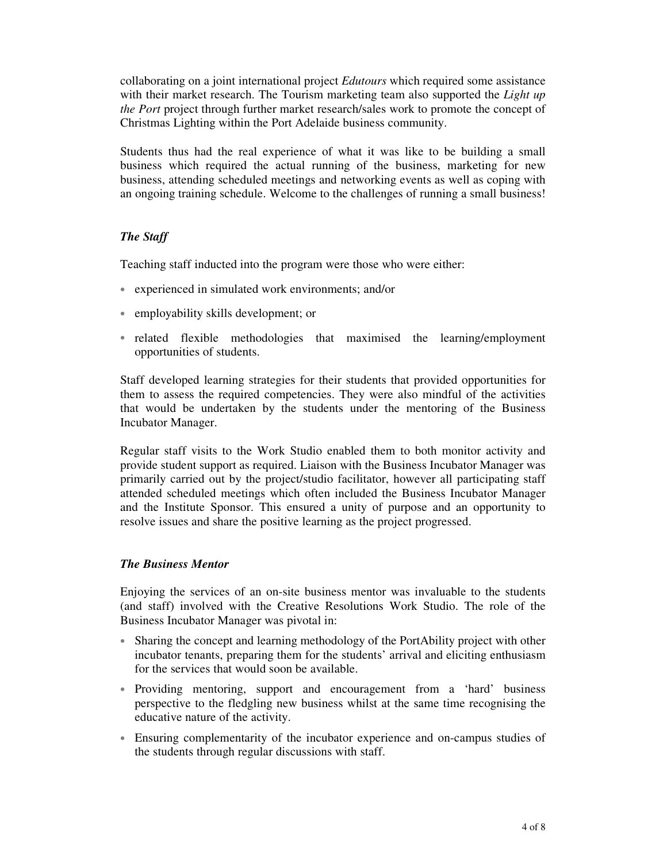collaborating on a joint international project *Edutours* which required some assistance with their market research. The Tourism marketing team also supported the *Light up the Port* project through further market research/sales work to promote the concept of Christmas Lighting within the Port Adelaide business community.

Students thus had the real experience of what it was like to be building a small business which required the actual running of the business, marketing for new business, attending scheduled meetings and networking events as well as coping with an ongoing training schedule. Welcome to the challenges of running a small business!

## *The Staff*

Teaching staff inducted into the program were those who were either:

- experienced in simulated work environments; and/or
- employability skills development; or
- related flexible methodologies that maximised the learning/employment opportunities of students.

Staff developed learning strategies for their students that provided opportunities for them to assess the required competencies. They were also mindful of the activities that would be undertaken by the students under the mentoring of the Business Incubator Manager.

Regular staff visits to the Work Studio enabled them to both monitor activity and provide student support as required. Liaison with the Business Incubator Manager was primarily carried out by the project/studio facilitator, however all participating staff attended scheduled meetings which often included the Business Incubator Manager and the Institute Sponsor. This ensured a unity of purpose and an opportunity to resolve issues and share the positive learning as the project progressed.

### *The Business Mentor*

Enjoying the services of an on-site business mentor was invaluable to the students (and staff) involved with the Creative Resolutions Work Studio. The role of the Business Incubator Manager was pivotal in:

- Sharing the concept and learning methodology of the PortAbility project with other incubator tenants, preparing them for the students' arrival and eliciting enthusiasm for the services that would soon be available.
- Providing mentoring, support and encouragement from a 'hard' business perspective to the fledgling new business whilst at the same time recognising the educative nature of the activity.
- Ensuring complementarity of the incubator experience and on-campus studies of the students through regular discussions with staff.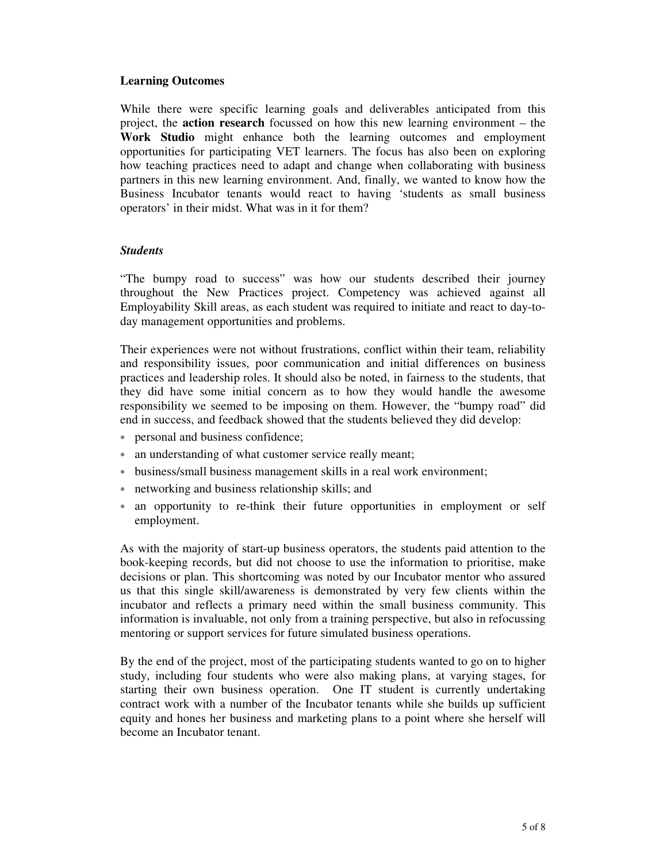### **Learning Outcomes**

While there were specific learning goals and deliverables anticipated from this project, the **action research** focussed on how this new learning environment – the **Work Studio** might enhance both the learning outcomes and employment opportunities for participating VET learners. The focus has also been on exploring how teaching practices need to adapt and change when collaborating with business partners in this new learning environment. And, finally, we wanted to know how the Business Incubator tenants would react to having 'students as small business operators' in their midst. What was in it for them?

### *Students*

"The bumpy road to success" was how our students described their journey throughout the New Practices project. Competency was achieved against all Employability Skill areas, as each student was required to initiate and react to day-today management opportunities and problems.

Their experiences were not without frustrations, conflict within their team, reliability and responsibility issues, poor communication and initial differences on business practices and leadership roles. It should also be noted, in fairness to the students, that they did have some initial concern as to how they would handle the awesome responsibility we seemed to be imposing on them. However, the "bumpy road" did end in success, and feedback showed that the students believed they did develop:

- personal and business confidence;
- an understanding of what customer service really meant;
- business/small business management skills in a real work environment;
- networking and business relationship skills; and
- an opportunity to re-think their future opportunities in employment or self employment.

As with the majority of start-up business operators, the students paid attention to the book-keeping records, but did not choose to use the information to prioritise, make decisions or plan. This shortcoming was noted by our Incubator mentor who assured us that this single skill/awareness is demonstrated by very few clients within the incubator and reflects a primary need within the small business community. This information is invaluable, not only from a training perspective, but also in refocussing mentoring or support services for future simulated business operations.

By the end of the project, most of the participating students wanted to go on to higher study, including four students who were also making plans, at varying stages, for starting their own business operation. One IT student is currently undertaking contract work with a number of the Incubator tenants while she builds up sufficient equity and hones her business and marketing plans to a point where she herself will become an Incubator tenant.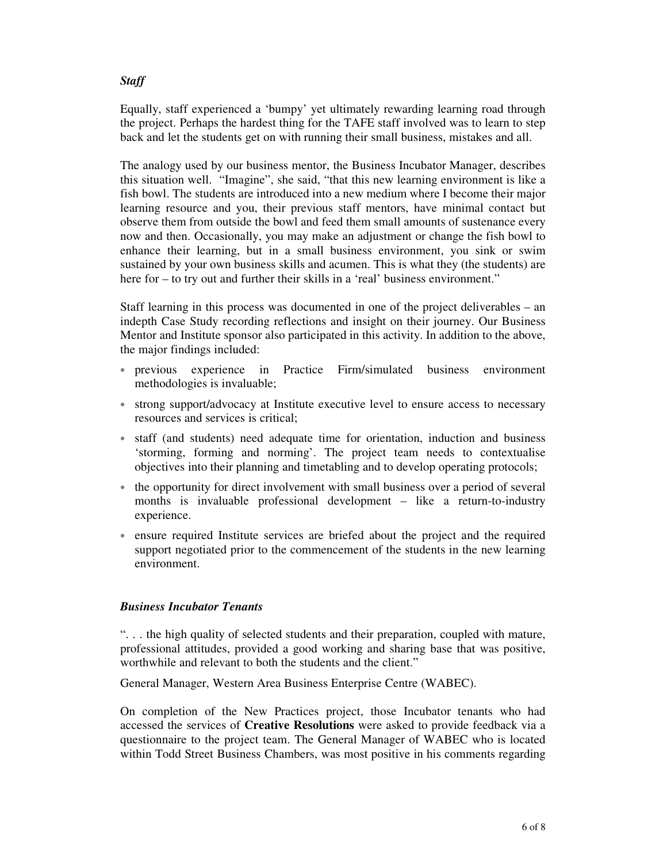# *Staff*

Equally, staff experienced a 'bumpy' yet ultimately rewarding learning road through the project. Perhaps the hardest thing for the TAFE staff involved was to learn to step back and let the students get on with running their small business, mistakes and all.

The analogy used by our business mentor, the Business Incubator Manager, describes this situation well. "Imagine", she said, "that this new learning environment is like a fish bowl. The students are introduced into a new medium where I become their major learning resource and you, their previous staff mentors, have minimal contact but observe them from outside the bowl and feed them small amounts of sustenance every now and then. Occasionally, you may make an adjustment or change the fish bowl to enhance their learning, but in a small business environment, you sink or swim sustained by your own business skills and acumen. This is what they (the students) are here for – to try out and further their skills in a 'real' business environment."

Staff learning in this process was documented in one of the project deliverables – an indepth Case Study recording reflections and insight on their journey. Our Business Mentor and Institute sponsor also participated in this activity. In addition to the above, the major findings included:

- previous experience in Practice Firm/simulated business environment methodologies is invaluable;
- strong support/advocacy at Institute executive level to ensure access to necessary resources and services is critical;
- staff (and students) need adequate time for orientation, induction and business 'storming, forming and norming'. The project team needs to contextualise objectives into their planning and timetabling and to develop operating protocols;
- the opportunity for direct involvement with small business over a period of several months is invaluable professional development – like a return-to-industry experience.
- ensure required Institute services are briefed about the project and the required support negotiated prior to the commencement of the students in the new learning environment.

### *Business Incubator Tenants*

". . . the high quality of selected students and their preparation, coupled with mature, professional attitudes, provided a good working and sharing base that was positive, worthwhile and relevant to both the students and the client."

General Manager, Western Area Business Enterprise Centre (WABEC).

On completion of the New Practices project, those Incubator tenants who had accessed the services of **Creative Resolutions** were asked to provide feedback via a questionnaire to the project team. The General Manager of WABEC who is located within Todd Street Business Chambers, was most positive in his comments regarding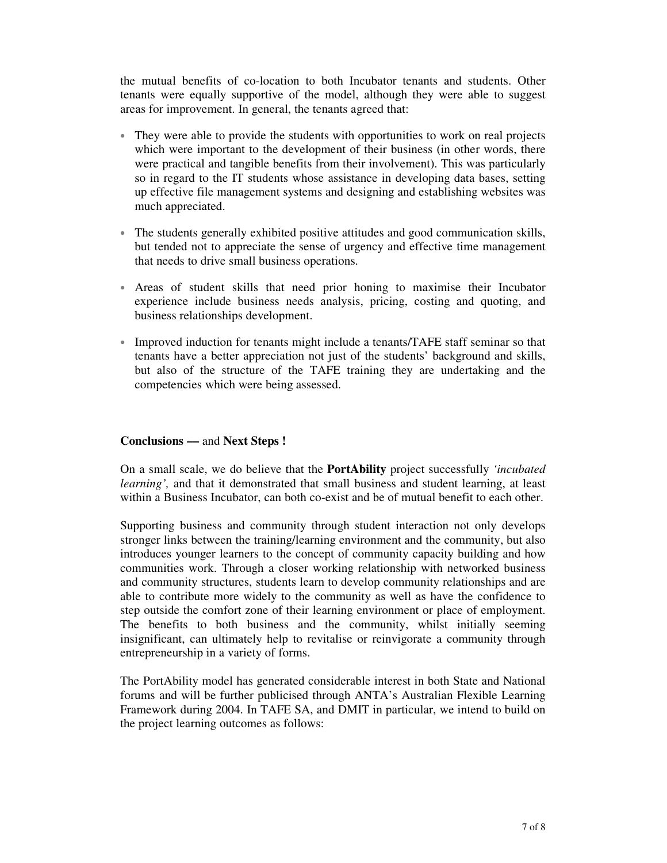the mutual benefits of co-location to both Incubator tenants and students. Other tenants were equally supportive of the model, although they were able to suggest areas for improvement. In general, the tenants agreed that:

- They were able to provide the students with opportunities to work on real projects which were important to the development of their business (in other words, there were practical and tangible benefits from their involvement). This was particularly so in regard to the IT students whose assistance in developing data bases, setting up effective file management systems and designing and establishing websites was much appreciated.
- The students generally exhibited positive attitudes and good communication skills, but tended not to appreciate the sense of urgency and effective time management that needs to drive small business operations.
- Areas of student skills that need prior honing to maximise their Incubator experience include business needs analysis, pricing, costing and quoting, and business relationships development.
- Improved induction for tenants might include a tenants/TAFE staff seminar so that tenants have a better appreciation not just of the students' background and skills, but also of the structure of the TAFE training they are undertaking and the competencies which were being assessed.

# **Conclusions ––** and **Next Steps !**

On a small scale, we do believe that the **PortAbility** project successfully *'incubated learning',* and that it demonstrated that small business and student learning, at least within a Business Incubator, can both co-exist and be of mutual benefit to each other.

Supporting business and community through student interaction not only develops stronger links between the training/learning environment and the community, but also introduces younger learners to the concept of community capacity building and how communities work. Through a closer working relationship with networked business and community structures, students learn to develop community relationships and are able to contribute more widely to the community as well as have the confidence to step outside the comfort zone of their learning environment or place of employment. The benefits to both business and the community, whilst initially seeming insignificant, can ultimately help to revitalise or reinvigorate a community through entrepreneurship in a variety of forms.

The PortAbility model has generated considerable interest in both State and National forums and will be further publicised through ANTA's Australian Flexible Learning Framework during 2004. In TAFE SA, and DMIT in particular, we intend to build on the project learning outcomes as follows: